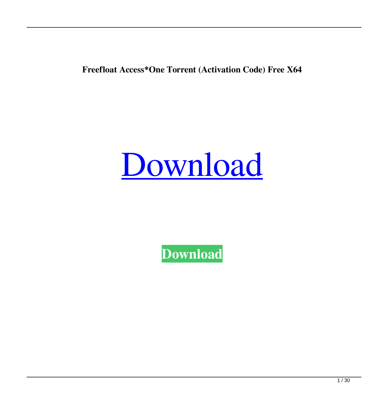**Freefloat Access\*One Torrent (Activation Code) Free X64**

# [Download](http://evacdir.com/brazil/corrosive/queer/RnJlZWZsb2F0IEFjY2VzcypPbmURnJ/kornelius.ZG93bmxvYWR8MW9yTm1WMU9YeDhNVFkxTkRVeU1qRXhNSHg4TWpVNE4zeDhLRTBwSUVobGNtOXJkU0JiUm1GemRDQkhSVTVk/valiently/)

**[Download](http://evacdir.com/brazil/corrosive/queer/RnJlZWZsb2F0IEFjY2VzcypPbmURnJ/kornelius.ZG93bmxvYWR8MW9yTm1WMU9YeDhNVFkxTkRVeU1qRXhNSHg4TWpVNE4zeDhLRTBwSUVobGNtOXJkU0JiUm1GemRDQkhSVTVk/valiently/)**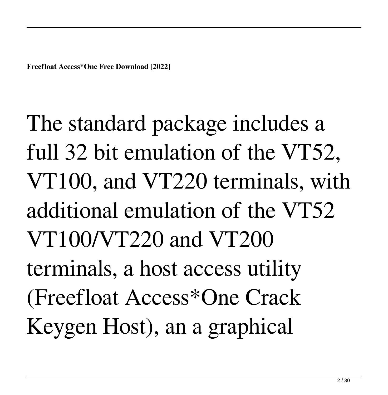The standard package includes a full 32 bit emulation of the VT52, VT100, and VT220 terminals, with additional emulation of the VT52 VT100/VT220 and VT200 terminals, a host access utility (Freefloat Access\*One Crack Keygen Host), an a graphical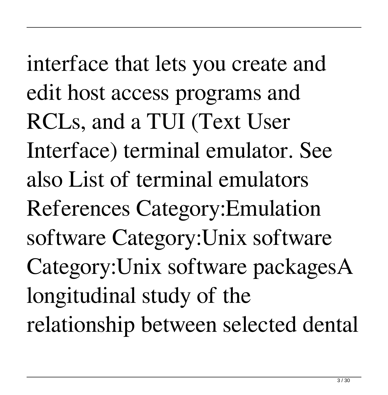interface that lets you create and edit host access programs and RCLs, and a TUI (Text User Interface) terminal emulator. See also List of terminal emulators References Category:Emulation software Category:Unix software Category:Unix software packagesA longitudinal study of the relationship between selected dental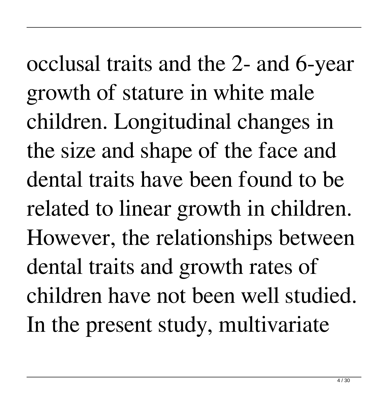occlusal traits and the 2- and 6-year growth of stature in white male children. Longitudinal changes in the size and shape of the face and dental traits have been found to be related to linear growth in children. However, the relationships between dental traits and growth rates of children have not been well studied. In the present study, multivariate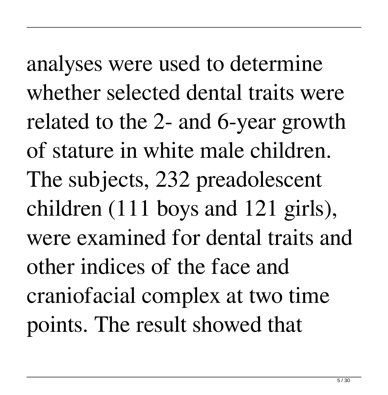analyses were used to determine whether selected dental traits were related to the 2- and 6-year growth of stature in white male children. The subjects, 232 preadolescent children (111 boys and 121 girls), were examined for dental traits and other indices of the face and craniofacial complex at two time points. The result showed that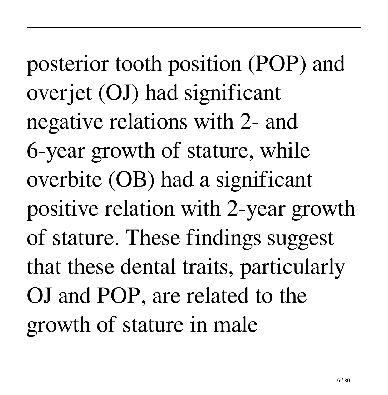posterior tooth position (POP) and overjet (OJ) had significant negative relations with 2- and 6-year growth of stature, while overbite (OB) had a significant positive relation with 2-year growth of stature. These findings suggest that these dental traits, particularly OJ and POP, are related to the growth of stature in male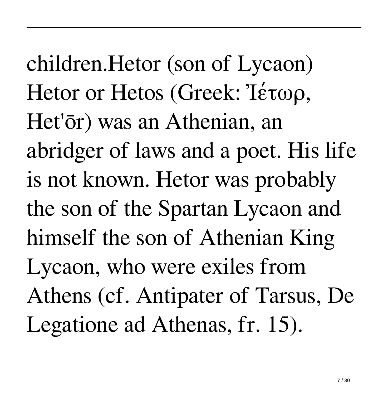children.Hetor (son of Lycaon) Hetor or Hetos (Greek: Ἰέτωρ, Het'ōr) was an Athenian, an abridger of laws and a poet. His life is not known. Hetor was probably the son of the Spartan Lycaon and himself the son of Athenian King Lycaon, who were exiles from Athens (cf. Antipater of Tarsus, De Legatione ad Athenas, fr. 15).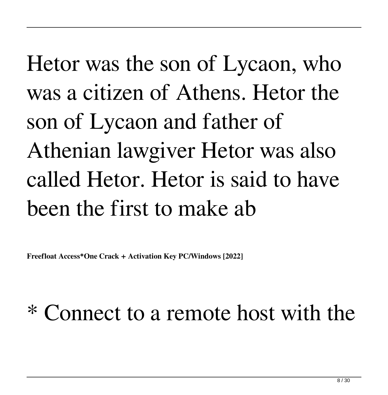Hetor was the son of Lycaon, who was a citizen of Athens. Hetor the son of Lycaon and father of Athenian lawgiver Hetor was also called Hetor. Hetor is said to have been the first to make ab

**Freefloat Access\*One Crack + Activation Key PC/Windows [2022]**

#### \* Connect to a remote host with the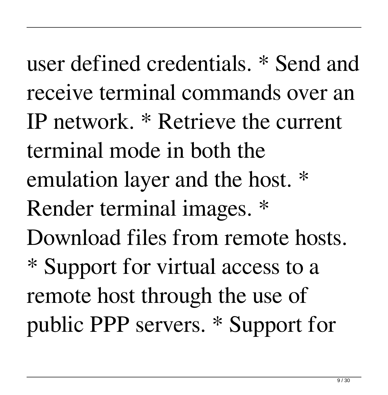user defined credentials. \* Send and receive terminal commands over an IP network. \* Retrieve the current terminal mode in both the emulation layer and the host. \* Render terminal images. \* Download files from remote hosts. \* Support for virtual access to a remote host through the use of public PPP servers. \* Support for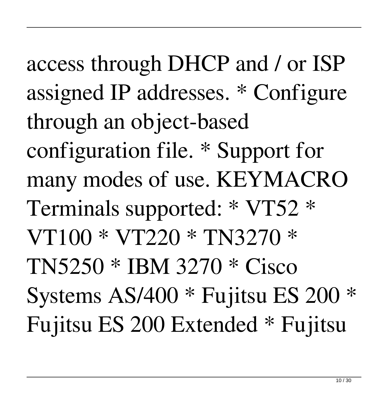access through DHCP and / or ISP assigned IP addresses. \* Configure through an object-based configuration file. \* Support for many modes of use. KEYMACRO Terminals supported: \* VT52 \* VT100 \* VT220 \* TN3270 \* TN5250 \* IBM 3270 \* Cisco Systems AS/400 \* Fujitsu ES 200 \* Fujitsu ES 200 Extended \* Fujitsu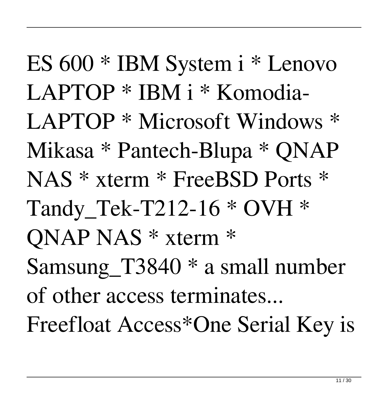ES 600 \* IBM System i \* Lenovo LAPTOP \* IBM i \* Komodia-LAPTOP \* Microsoft Windows \* Mikasa \* Pantech-Blupa \* QNAP NAS \* xterm \* FreeBSD Ports \* Tandy Tek-T212-16  $*$  OVH  $*$ QNAP NAS \* xterm \* Samsung\_T3840 \* a small number of other access terminates... Freefloat Access\*One Serial Key is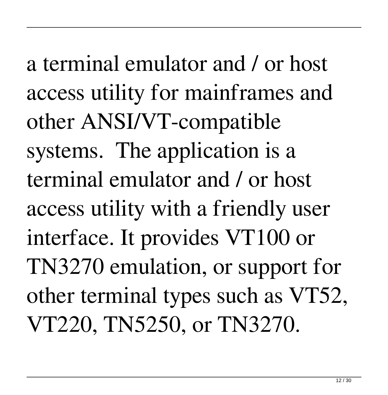a terminal emulator and / or host access utility for mainframes and other ANSI/VT-compatible systems. The application is a terminal emulator and / or host access utility with a friendly user interface. It provides VT100 or TN3270 emulation, or support for other terminal types such as VT52, VT220, TN5250, or TN3270.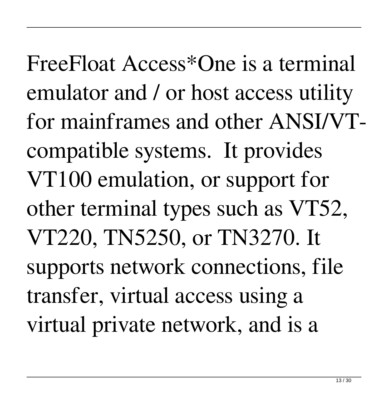FreeFloat Access\*One is a terminal emulator and / or host access utility for mainframes and other ANSI/VTcompatible systems. It provides VT100 emulation, or support for other terminal types such as VT52, VT220, TN5250, or TN3270. It supports network connections, file transfer, virtual access using a virtual private network, and is a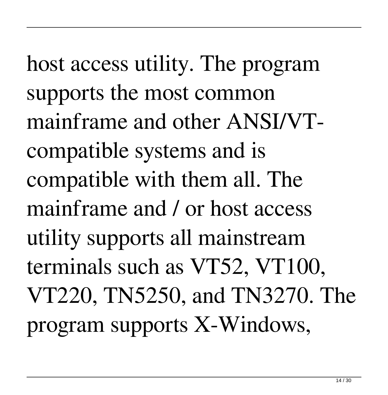host access utility. The program supports the most common mainframe and other ANSI/VTcompatible systems and is compatible with them all. The mainframe and / or host access utility supports all mainstream terminals such as VT52, VT100, VT220, TN5250, and TN3270. The program supports X-Windows,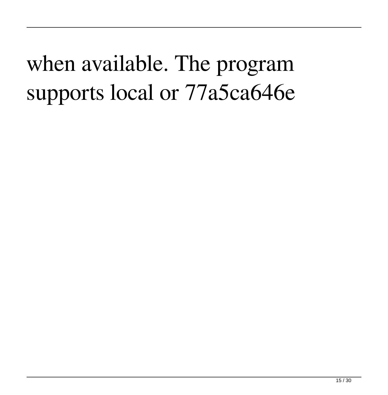## when available. The program supports local or 77a5ca646e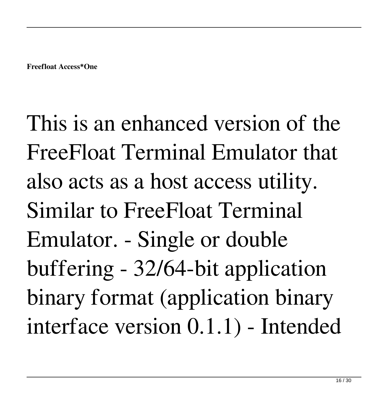This is an enhanced version of the FreeFloat Terminal Emulator that also acts as a host access utility. Similar to FreeFloat Terminal Emulator. - Single or double buffering - 32/64-bit application binary format (application binary interface version 0.1.1) - Intended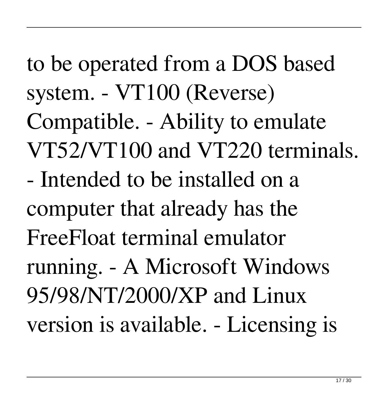to be operated from a DOS based system. - VT100 (Reverse) Compatible. - Ability to emulate VT52/VT100 and VT220 terminals. - Intended to be installed on a computer that already has the FreeFloat terminal emulator running. - A Microsoft Windows 95/98/NT/2000/XP and Linux version is available. - Licensing is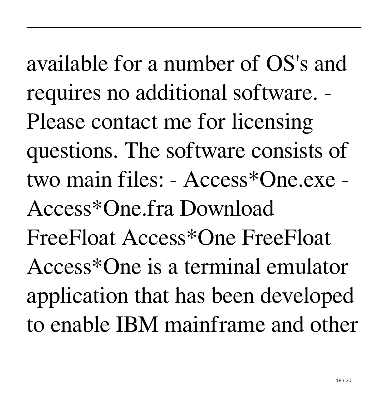available for a number of OS's and requires no additional software. - Please contact me for licensing questions. The software consists of two main files: - Access\*One.exe - Access\*One.fra Download FreeFloat Access\*One FreeFloat Access\*One is a terminal emulator application that has been developed to enable IBM mainframe and other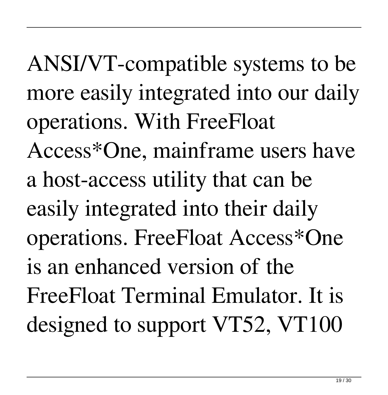ANSI/VT-compatible systems to be more easily integrated into our daily operations. With FreeFloat Access\*One, mainframe users have a host-access utility that can be easily integrated into their daily operations. FreeFloat Access\*One is an enhanced version of the FreeFloat Terminal Emulator. It is designed to support VT52, VT100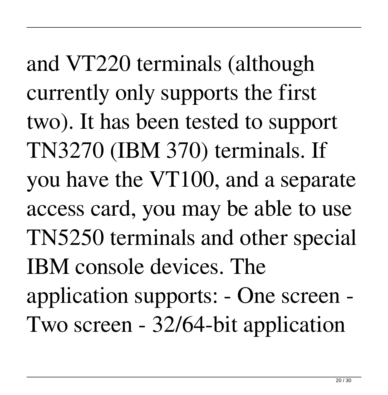and VT220 terminals (although currently only supports the first two). It has been tested to support TN3270 (IBM 370) terminals. If you have the VT100, and a separate access card, you may be able to use TN5250 terminals and other special IBM console devices. The application supports: - One screen - Two screen - 32/64-bit application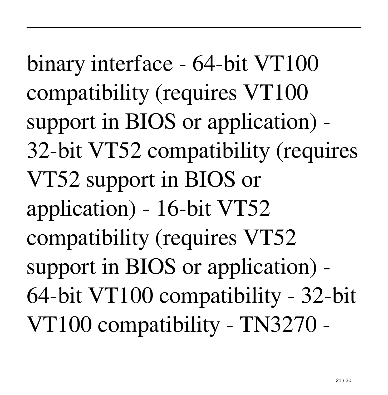binary interface - 64-bit VT100 compatibility (requires VT100 support in BIOS or application) - 32-bit VT52 compatibility (requires VT52 support in BIOS or application) - 16-bit VT52 compatibility (requires VT52 support in BIOS or application) - 64-bit VT100 compatibility - 32-bit VT100 compatibility - TN3270 -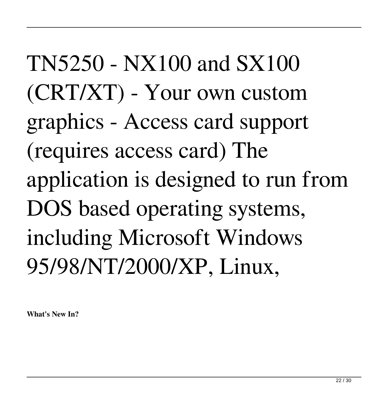TN5250 - NX100 and SX100 (CRT/XT) - Your own custom graphics - Access card support (requires access card) The application is designed to run from DOS based operating systems, including Microsoft Windows 95/98/NT/2000/XP, Linux,

**What's New In?**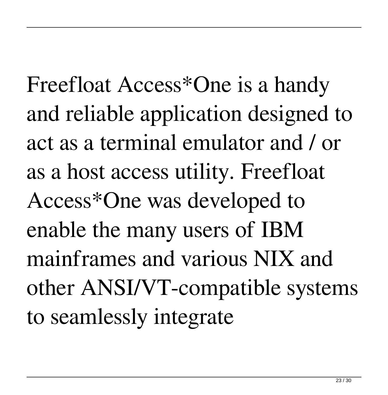Freefloat Access\*One is a handy and reliable application designed to act as a terminal emulator and / or as a host access utility. Freefloat Access\*One was developed to enable the many users of IBM mainframes and various NIX and other ANSI/VT-compatible systems to seamlessly integrate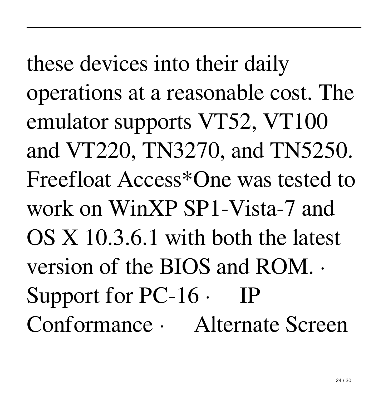these devices into their daily operations at a reasonable cost. The emulator supports VT52, VT100 and VT220, TN3270, and TN5250. Freefloat Access\*One was tested to work on WinXP SP1-Vista-7 and OS X 10.3.6.1 with both the latest version of the BIOS and ROM. · Support for PC-16 · IP Conformance · Alternate Screen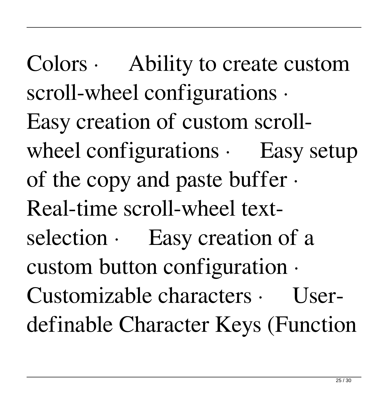Colors · Ability to create custom scroll-wheel configurations · Easy creation of custom scrollwheel configurations  $\cdot$  Easy setup of the copy and paste buffer · Real-time scroll-wheel textselection  $\cdot$  Easy creation of a custom button configuration · Customizable characters · Userdefinable Character Keys (Function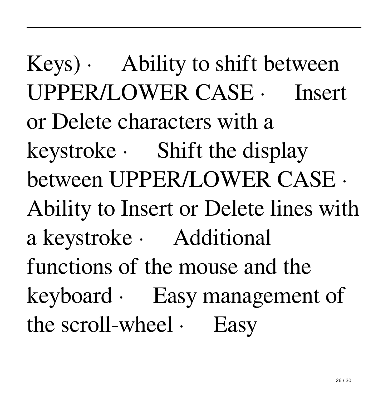$Keys$ ) · Ability to shift between UPPER/LOWER CASE · Insert or Delete characters with a keystroke · Shift the display between UPPER/LOWER CASE · Ability to Insert or Delete lines with a keystroke · Additional functions of the mouse and the keyboard · Easy management of the scroll-wheel  $\cdot$  Easy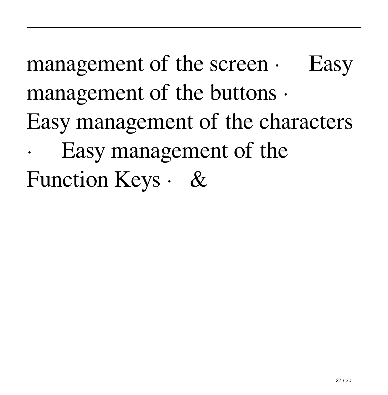management of the screen  $\cdot$  Easy management of the buttons · Easy management of the characters Easy management of the Function Keys · &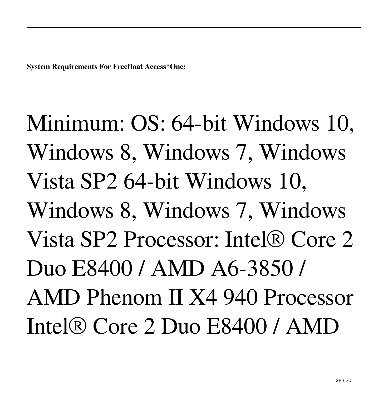**System Requirements For Freefloat Access\*One:**

Minimum: OS: 64-bit Windows 10, Windows 8, Windows 7, Windows Vista SP2 64-bit Windows 10, Windows 8, Windows 7, Windows Vista SP2 Processor: Intel® Core 2 Duo E8400 / AMD A6-3850 / AMD Phenom II X4 940 Processor Intel® Core 2 Duo E8400 / AMD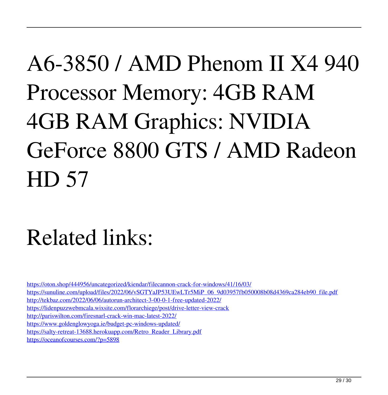# A6-3850 / AMD Phenom II X4 940 Processor Memory: 4GB RAM 4GB RAM Graphics: NVIDIA GeForce 8800 GTS / AMD Radeon HD 57

### Related links:

<https://oton.shop/444956/uncategorized/kiendar/filecannon-crack-for-windows/41/16/03/> [https://sunuline.com/upload/files/2022/06/vSGTYaJP53UEwLTr5MiP\\_06\\_9d03957fb050008b08d4369ca284eb90\\_file.pdf](https://sunuline.com/upload/files/2022/06/vSGTYaJP53UEwLTr5MiP_06_9d03957fb050008b08d4369ca284eb90_file.pdf) <http://tekbaz.com/2022/06/06/autorun-architect-3-00-0-1-free-updated-2022/> <https://lidenpuzzwebmcala.wixsite.com/florarchiege/post/drive-letter-view-crack> <http://pariswilton.com/firesnarl-crack-win-mac-latest-2022/> <https://www.goldenglowyoga.ie/budget-pc-windows-updated/> [https://salty-retreat-13688.herokuapp.com/Retro\\_Reader\\_Library.pdf](https://salty-retreat-13688.herokuapp.com/Retro_Reader_Library.pdf) <https://oceanofcourses.com/?p=5898>